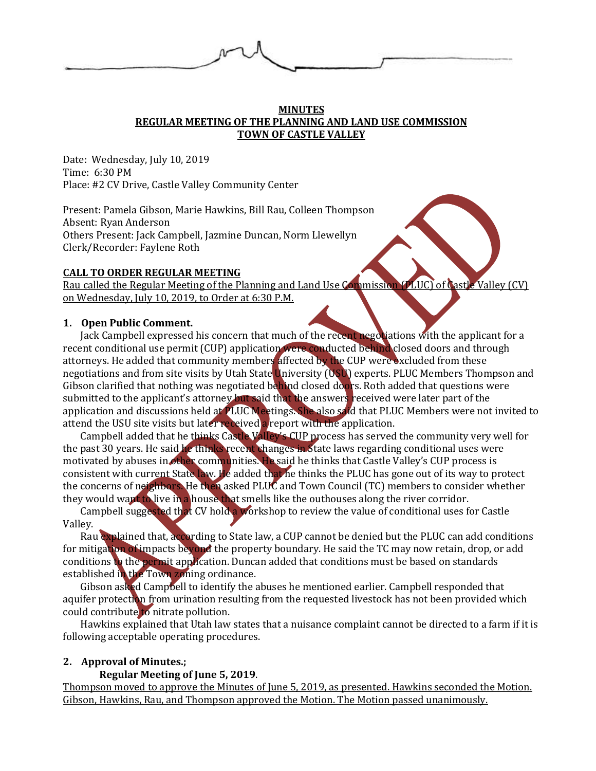

#### **MINUTES REGULAR MEETING OF THE PLANNING AND LAND USE COMMISSION TOWN OF CASTLE VALLEY**

Date: Wednesday, July 10, 2019 Time: 6:30 PM Place: #2 CV Drive, Castle Valley Community Center

Present: Pamela Gibson, Marie Hawkins, Bill Rau, Colleen Thompson Absent: Ryan Anderson Others Present: Jack Campbell, Jazmine Duncan, Norm Llewellyn Clerk/Recorder: Faylene Roth

## **CALL TO ORDER REGULAR MEETING**

Rau called the Regular Meeting of the Planning and Land Use Commission (PLUC) of Castle Valley (CV) on Wednesday, July 10, 2019, to Order at 6:30 P.M.

## **1. Open Public Comment.**

Jack Campbell expressed his concern that much of the recent negotiations with the applicant for a recent conditional use permit (CUP) application were conducted behind closed doors and through attorneys. He added that community members affected by the CUP were excluded from these negotiations and from site visits by Utah State University (USU) experts. PLUC Members Thompson and Gibson clarified that nothing was negotiated behind closed doors. Roth added that questions were submitted to the applicant's attorney but said that the answers received were later part of the application and discussions held at PLUC Meetings. She also said that PLUC Members were not invited to attend the USU site visits but later received a report with the application.

Campbell added that he thinks Castle Valley's CUP process has served the community very well for the past 30 years. He said he thinks recent changes in State laws regarding conditional uses were motivated by abuses in other communities. He said he thinks that Castle Valley's CUP process is consistent with current State law. He added that he thinks the PLUC has gone out of its way to protect the concerns of neighbors. He then asked PLUC and Town Council (TC) members to consider whether they would want to live in a house that smells like the outhouses along the river corridor.

Campbell suggested that CV hold a workshop to review the value of conditional uses for Castle Valley.

Rau explained that, according to State law, a CUP cannot be denied but the PLUC can add conditions for mitigation of impacts beyond the property boundary. He said the TC may now retain, drop, or add conditions to the permit application. Duncan added that conditions must be based on standards established in the Town zoning ordinance.

Gibson asked Campbell to identify the abuses he mentioned earlier. Campbell responded that aquifer protection from urination resulting from the requested livestock has not been provided which could contribute to nitrate pollution.

Hawkins explained that Utah law states that a nuisance complaint cannot be directed to a farm if it is following acceptable operating procedures.

# **2. Approval of Minutes.;**

# **Regular Meeting of June 5, 2019**.

Thompson moved to approve the Minutes of June 5, 2019, as presented. Hawkins seconded the Motion. Gibson, Hawkins, Rau, and Thompson approved the Motion. The Motion passed unanimously.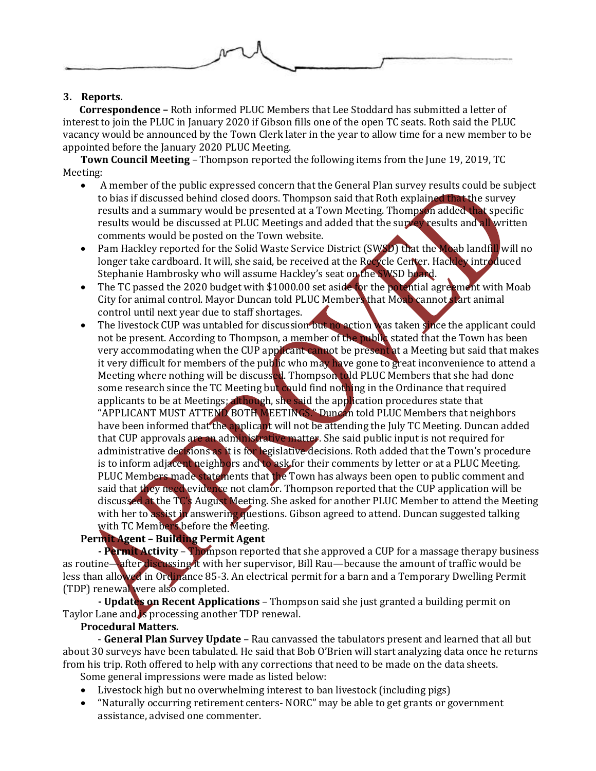

# **3. Reports.**

 **Correspondence –** Roth informed PLUC Members that Lee Stoddard has submitted a letter of interest to join the PLUC in January 2020 if Gibson fills one of the open TC seats. Roth said the PLUC vacancy would be announced by the Town Clerk later in the year to allow time for a new member to be appointed before the January 2020 PLUC Meeting.

**Town Council Meeting** – Thompson reported the following items from the June 19, 2019, TC Meeting:

- A member of the public expressed concern that the General Plan survey results could be subject to bias if discussed behind closed doors. Thompson said that Roth explained that the survey results and a summary would be presented at a Town Meeting. Thompson added that specific results would be discussed at PLUC Meetings and added that the survey results and all written comments would be posted on the Town website.
- Pam Hackley reported for the Solid Waste Service District (SWSD) that the Moab landfill will no longer take cardboard. It will, she said, be received at the Recycle Center. Hackley introduced Stephanie Hambrosky who will assume Hackley's seat on the SWSD board.
- The TC passed the 2020 budget with \$1000.00 set aside for the potential agreement with Moab City for animal control. Mayor Duncan told PLUC Members that Moab cannot start animal control until next year due to staff shortages.
- The livestock CUP was untabled for discussion but no action was taken since the applicant could not be present. According to Thompson, a member of the public stated that the Town has been very accommodating when the CUP applicant cannot be present at a Meeting but said that makes it very difficult for members of the public who may have gone to great inconvenience to attend a Meeting where nothing will be discussed. Thompson told PLUC Members that she had done some research since the TC Meeting but could find nothing in the Ordinance that required applicants to be at Meetings; although, she said the application procedures state that "APPLICANT MUST ATTEND BOTH MEETINGS." Duncan told PLUC Members that neighbors have been informed that the applicant will not be attending the July TC Meeting. Duncan added that CUP approvals are an administrative matter. She said public input is not required for administrative decisions as it is for legislative decisions. Roth added that the Town's procedure is to inform adjacent neighbors and to ask for their comments by letter or at a PLUC Meeting. PLUC Members made statements that the Town has always been open to public comment and said that they need evidence not clamor. Thompson reported that the CUP application will be discussed at the TC's August Meeting. She asked for another PLUC Member to attend the Meeting with her to assist in answering questions. Gibson agreed to attend. Duncan suggested talking with TC Members before the Meeting.

# **Permit Agent – Building Permit Agent**

**- Permit Activity** – Thompson reported that she approved a CUP for a massage therapy business as routine—after discussing it with her supervisor, Bill Rau—because the amount of traffic would be less than allowed in Ordinance 85-3. An electrical permit for a barn and a Temporary Dwelling Permit (TDP) renewal were also completed.

**- Updates on Recent Applications** – Thompson said she just granted a building permit on Taylor Lane and is processing another TDP renewal.

# **Procedural Matters.**

- **General Plan Survey Update** – Rau canvassed the tabulators present and learned that all but about 30 surveys have been tabulated. He said that Bob O'Brien will start analyzing data once he returns from his trip. Roth offered to help with any corrections that need to be made on the data sheets. Some general impressions were made as listed below:

- Livestock high but no overwhelming interest to ban livestock (including pigs)
- "Naturally occurring retirement centers- NORC" may be able to get grants or government assistance, advised one commenter.